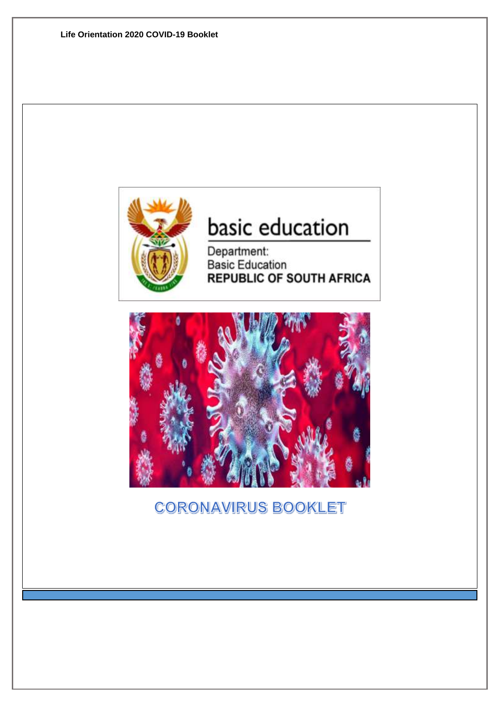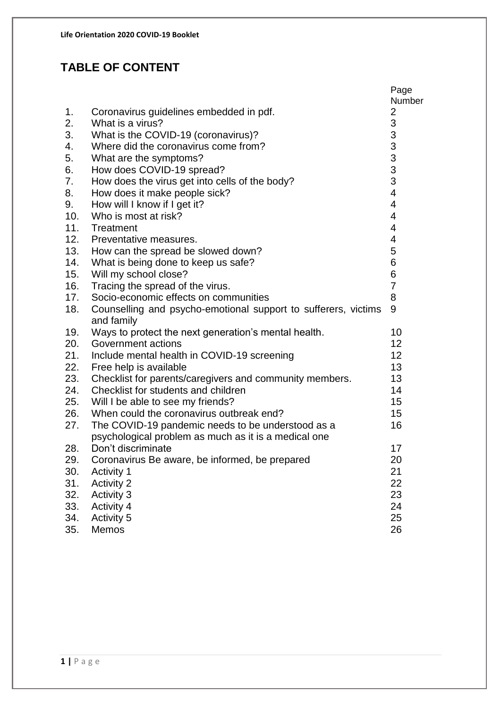## **TABLE OF CONTENT**

|     |                                                                              | Page<br>Number                                 |
|-----|------------------------------------------------------------------------------|------------------------------------------------|
| 1.  | Coronavirus guidelines embedded in pdf.                                      | 2                                              |
| 2.  | What is a virus?                                                             |                                                |
| 3.  | What is the COVID-19 (coronavirus)?                                          |                                                |
| 4.  | Where did the coronavirus come from?                                         |                                                |
| 5.  | What are the symptoms?                                                       |                                                |
| 6.  | How does COVID-19 spread?                                                    |                                                |
| 7.  | How does the virus get into cells of the body?                               | $\begin{array}{c}\n33 \\ 33 \\ 3\n\end{array}$ |
| 8.  | How does it make people sick?                                                | $\overline{\mathcal{A}}$                       |
| 9.  | How will I know if I get it?                                                 | $\overline{\mathbf{4}}$                        |
| 10. | Who is most at risk?                                                         | $\overline{\mathbf{4}}$                        |
| 11. | Treatment                                                                    | $\overline{4}$                                 |
| 12. | Preventative measures.                                                       | 4                                              |
| 13. | How can the spread be slowed down?                                           | 5                                              |
| 14. | What is being done to keep us safe?                                          | 6                                              |
| 15. | Will my school close?                                                        | 6                                              |
| 16. | Tracing the spread of the virus.                                             | $\overline{7}$                                 |
| 17. | Socio-economic effects on communities                                        | 8                                              |
| 18. | Counselling and psycho-emotional support to sufferers, victims<br>and family | 9                                              |
| 19. | Ways to protect the next generation's mental health.                         | 10                                             |
| 20. | Government actions                                                           | 12                                             |
| 21. | Include mental health in COVID-19 screening                                  | 12                                             |
| 22. | Free help is available                                                       | 13                                             |
| 23. | Checklist for parents/caregivers and community members.                      | 13                                             |
| 24. | Checklist for students and children                                          | 14                                             |
| 25. | Will I be able to see my friends?                                            | 15                                             |
| 26. | When could the coronavirus outbreak end?                                     | 15                                             |
| 27. | The COVID-19 pandemic needs to be understood as a                            | 16                                             |
|     | psychological problem as much as it is a medical one                         |                                                |
| 28. | Don't discriminate                                                           | 17                                             |
| 29. | Coronavirus Be aware, be informed, be prepared                               | 20                                             |
| 30. | <b>Activity 1</b>                                                            | 21                                             |
| 31. | <b>Activity 2</b>                                                            | 22                                             |
| 32. | <b>Activity 3</b>                                                            | 23                                             |
| 33. | <b>Activity 4</b>                                                            | 24                                             |
| 34. | <b>Activity 5</b>                                                            | 25                                             |
| 35. | Memos                                                                        | 26                                             |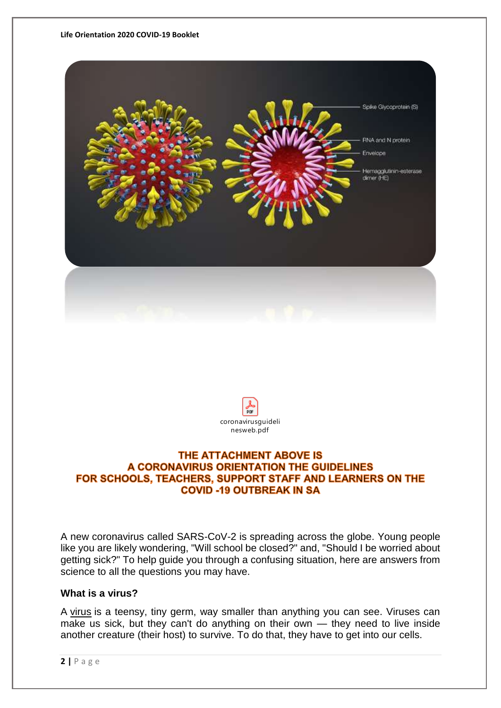#### **Life Orientation 2020 COVID-19 Booklet**





#### THE ATTACHMENT ABOVE IS A CORONAVIRUS ORIENTATION THE GUIDELINES FOR SCHOOLS, TEACHERS, SUPPORT STAFF AND LEARNERS ON THE **COVID -19 OUTBREAK IN SA**

A new coronavirus called SARS-CoV-2 is spreading across the globe. Young people like you are likely wondering, "Will school be closed?" and, "Should I be worried about getting sick?" To help guide you through a confusing situation, here are answers from science to all the questions you may have.

#### **What is a virus?**

A [virus](https://www.livescience.com/53272-what-is-a-virus.html) is a teensy, tiny germ, way smaller than anything you can see. Viruses can make us sick, but they can't do anything on their own — they need to live inside another creature (their host) to survive. To do that, they have to get into our cells.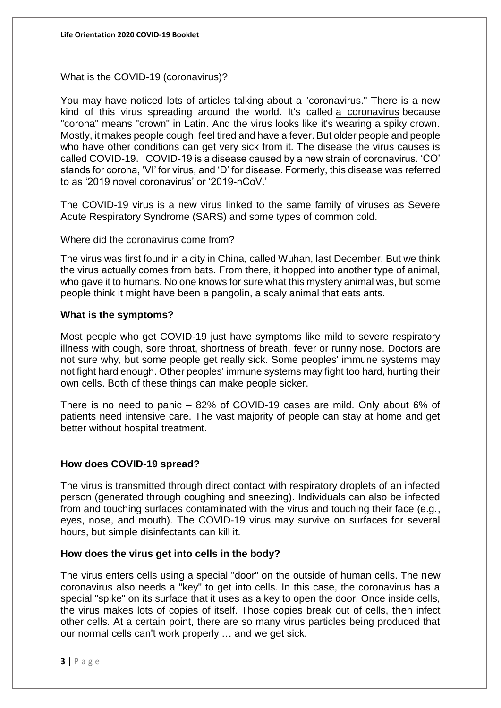What is the COVID-19 (coronavirus)?

You may have noticed lots of articles talking about a "coronavirus." There is a new kind of this virus spreading around the world. It's called a [coronavirus](https://www.livescience.com/what-are-coronaviruses.html) because "corona" means "crown" in Latin. And the virus looks like it's wearing a spiky crown. Mostly, it makes people cough, feel tired and have a fever. But older people and people who have other conditions can get very sick from it. The disease the virus causes is called COVID-19. COVID-19 is a disease caused by a new strain of coronavirus. 'CO' stands for corona, 'VI' for virus, and 'D' for disease. Formerly, this disease was referred to as '2019 novel coronavirus' or '2019-nCoV.'

The COVID-19 virus is a new virus linked to the same family of viruses as Severe Acute Respiratory Syndrome (SARS) and some types of common cold.

Where did the coronavirus come from?

The virus was first found in a city in China, called Wuhan, last December. But we think the virus actually comes from bats. From there, it hopped into another type of animal, who gave it to humans. No one knows for sure what this mystery animal was, but some people think it might have been a pangolin, a scaly animal that eats ants.

#### **What is the symptoms?**

Most people who get COVID-19 just have symptoms like mild to severe respiratory illness with cough, sore throat, shortness of breath, fever or runny nose. Doctors are not sure why, but some people get really sick. Some peoples' immune systems may not fight hard enough. Other peoples' immune systems may fight too hard, hurting their own cells. Both of these things can make people sicker.

There is no need to panic – 82% of COVID-19 cases are mild. Only about 6% of patients need intensive care. The vast majority of people can stay at home and get better without hospital treatment.

#### **How does COVID-19 spread?**

The virus is transmitted through direct contact with respiratory droplets of an infected person (generated through coughing and sneezing). Individuals can also be infected from and touching surfaces contaminated with the virus and touching their face (e.g., eyes, nose, and mouth). The COVID-19 virus may survive on surfaces for several hours, but simple disinfectants can kill it.

#### **How does the virus get into cells in the body?**

The virus enters cells using a special "door" on the outside of human cells. The new coronavirus also needs a "key" to get into cells. In this case, the coronavirus has a special "spike" on its surface that it uses as a key to open the door. Once inside cells, the virus makes lots of copies of itself. Those copies break out of cells, then infect other cells. At a certain point, there are so many virus particles being produced that our normal cells can't work properly … and we get sick.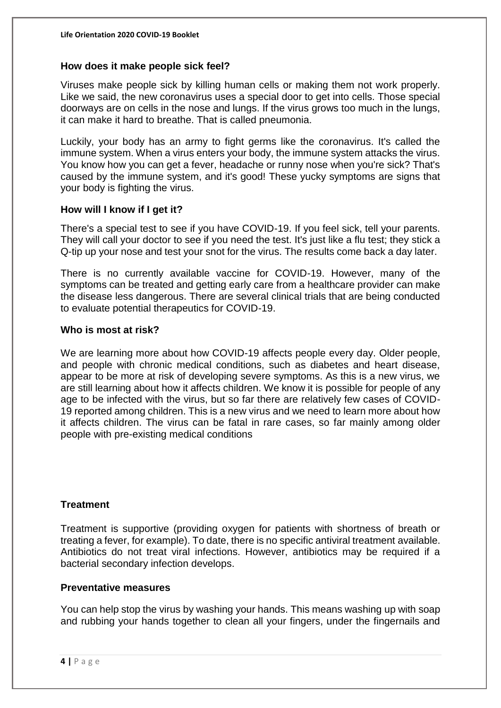#### **How does it make people sick feel?**

Viruses make people sick by killing human cells or making them not work properly. Like we said, the new coronavirus uses a special door to get into cells. Those special doorways are on cells in the nose and lungs. If the virus grows too much in the lungs, it can make it hard to breathe. That is called pneumonia.

Luckily, your body has an army to fight germs like the coronavirus. It's called the immune system. When a virus enters your body, the immune system attacks the virus. You know how you can get a fever, headache or runny nose when you're sick? That's caused by the immune system, and it's good! These yucky symptoms are signs that your body is fighting the virus.

#### **How will I know if I get it?**

There's a special test to see if you have COVID-19. If you feel sick, tell your parents. They will call your doctor to see if you need the test. It's just like a flu test; they stick a Q-tip up your nose and test your snot for the virus. The results come back a day later.

There is no currently available vaccine for COVID-19. However, many of the symptoms can be treated and getting early care from a healthcare provider can make the disease less dangerous. There are several clinical trials that are being conducted to evaluate potential therapeutics for COVID-19.

#### **Who is most at risk?**

We are learning more about how COVID-19 affects people every day. Older people, and people with chronic medical conditions, such as diabetes and heart disease, appear to be more at risk of developing severe symptoms. As this is a new virus, we are still learning about how it affects children. We know it is possible for people of any age to be infected with the virus, but so far there are relatively few cases of COVID-19 reported among children. This is a new virus and we need to learn more about how it affects children. The virus can be fatal in rare cases, so far mainly among older people with pre-existing medical conditions

#### **Treatment**

Treatment is supportive (providing oxygen for patients with shortness of breath or treating a fever, for example). To date, there is no specific antiviral treatment available. Antibiotics do not treat viral infections. However, antibiotics may be required if a bacterial secondary infection develops.

#### **Preventative measures**

You can help stop the virus by washing your hands. This means washing up with soap and rubbing your hands together to clean all your fingers, under the fingernails and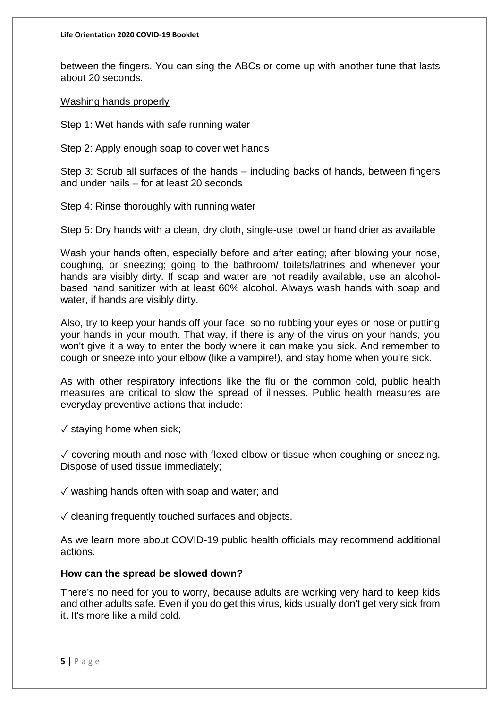between the fingers. You can sing the ABCs or come up with another tune that lasts about 20 seconds.

Washing hands properly

Step 1: Wet hands with safe running water

Step 2: Apply enough soap to cover wet hands

Step 3: Scrub all surfaces of the hands – including backs of hands, between fingers and under nails – for at least 20 seconds

Step 4: Rinse thoroughly with running water

Step 5: Dry hands with a clean, dry cloth, single-use towel or hand drier as available

Wash your hands often, especially before and after eating; after blowing your nose, coughing, or sneezing; going to the bathroom/ toilets/latrines and whenever your hands are visibly dirty. If soap and water are not readily available, use an alcoholbased hand sanitizer with at least 60% alcohol. Always wash hands with soap and water, if hands are visibly dirty.

Also, try to keep your hands off your face, so no rubbing your eyes or nose or putting your hands in your mouth. That way, if there is any of the virus on your hands, you won't give it a way to enter the body where it can make you sick. And remember to cough or sneeze into your elbow (like a vampire!), and stay home when you're sick.

As with other respiratory infections like the flu or the common cold, public health measures are critical to slow the spread of illnesses. Public health measures are everyday preventive actions that include:

 $\sqrt{\ }$  staving home when sick;

 $\sqrt{\overline{\phantom{a}}}$  covering mouth and nose with flexed elbow or tissue when coughing or sneezing. Dispose of used tissue immediately;

✓ washing hands often with soap and water; and

 $\sqrt{\ }$  cleaning frequently touched surfaces and objects.

As we learn more about COVID-19 public health officials may recommend additional actions.

#### **How can the spread be slowed down?**

There's no need for you to worry, because adults are working very hard to keep kids and other adults safe. Even if you do get this virus, kids usually don't get very sick from it. It's more like a mild cold.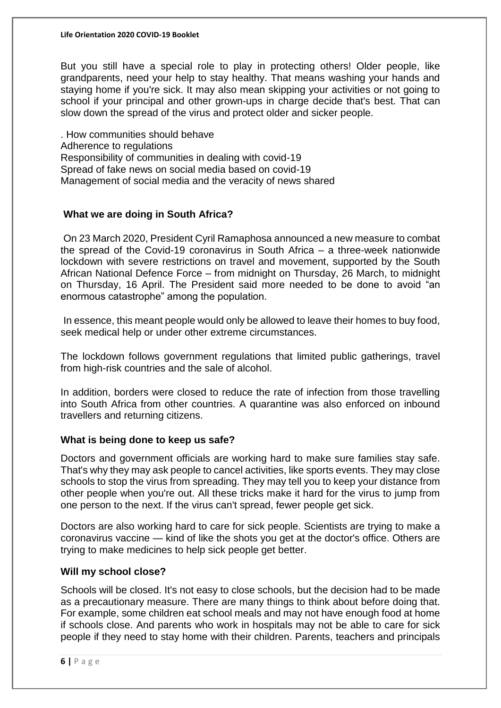#### **Life Orientation 2020 COVID-19 Booklet**

But you still have a special role to play in protecting others! Older people, like grandparents, need your help to stay healthy. That means washing your hands and staying home if you're sick. It may also mean skipping your activities or not going to school if your principal and other grown-ups in charge decide that's best. That can slow down the spread of the virus and protect older and sicker people.

. How communities should behave Adherence to regulations Responsibility of communities in dealing with covid-19 Spread of fake news on social media based on covid-19 Management of social media and the veracity of news shared

#### **What we are doing in South Africa?**

On 23 March 2020, President Cyril Ramaphosa announced a new measure to combat the spread of the Covid-19 coronavirus in South Africa – a three-week nationwide lockdown with severe restrictions on travel and movement, supported by the South African National Defence Force – from midnight on Thursday, 26 March, to midnight on Thursday, 16 April. The President said more needed to be done to avoid "an enormous catastrophe" among the population.

In essence, this meant people would only be allowed to leave their homes to buy food, seek medical help or under other extreme circumstances.

The lockdown follows government regulations that limited public gatherings, travel from high-risk countries and the sale of alcohol.

In addition, borders were closed to reduce the rate of infection from those travelling into South Africa from other countries. A quarantine was also enforced on inbound travellers and returning citizens.

#### **What is being done to keep us safe?**

Doctors and government officials are working hard to make sure families stay safe. That's why they may ask people to cancel activities, like sports events. They may close schools to stop the virus from spreading. They may tell you to keep your distance from other people when you're out. All these tricks make it hard for the virus to jump from one person to the next. If the virus can't spread, fewer people get sick.

Doctors are also working hard to care for sick people. Scientists are trying to make a coronavirus vaccine — kind of like the shots you get at the doctor's office. Others are trying to make medicines to help sick people get better.

#### **Will my school close?**

Schools will be closed. It's not easy to close schools, but the decision had to be made as a precautionary measure. There are many things to think about before doing that. For example, some children eat school meals and may not have enough food at home if schools close. And parents who work in hospitals may not be able to care for sick people if they need to stay home with their children. Parents, teachers and principals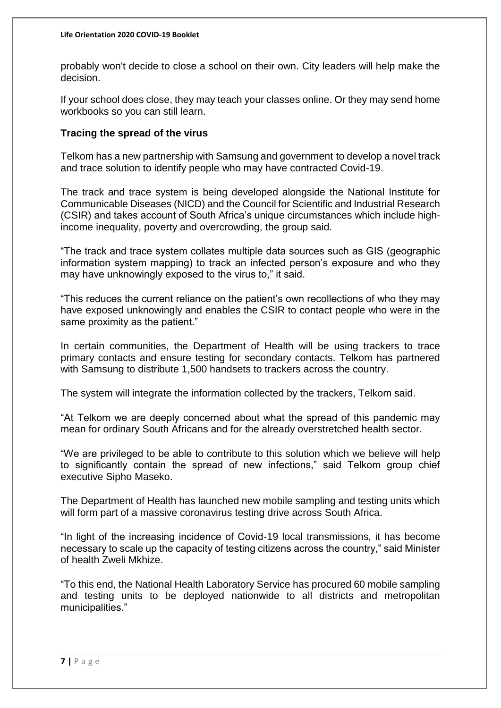probably won't decide to close a school on their own. City leaders will help make the decision.

If your school does close, they may teach your classes online. Or they may send home workbooks so you can still learn.

#### **Tracing the spread of the virus**

Telkom has a new partnership with Samsung and government to develop a novel track and trace solution to identify people who may have contracted Covid-19.

The track and trace system is being developed alongside the National Institute for Communicable Diseases (NICD) and the Council for Scientific and Industrial Research (CSIR) and takes account of South Africa's unique circumstances which include highincome inequality, poverty and overcrowding, the group said.

"The track and trace system collates multiple data sources such as GIS (geographic information system mapping) to track an infected person's exposure and who they may have unknowingly exposed to the virus to," it said.

"This reduces the current reliance on the patient's own recollections of who they may have exposed unknowingly and enables the CSIR to contact people who were in the same proximity as the patient."

In certain communities, the Department of Health will be using trackers to trace primary contacts and ensure testing for secondary contacts. Telkom has partnered with Samsung to distribute 1,500 handsets to trackers across the country.

The system will integrate the information collected by the trackers, Telkom said.

"At Telkom we are deeply concerned about what the spread of this pandemic may mean for ordinary South Africans and for the already overstretched health sector.

"We are privileged to be able to contribute to this solution which we believe will help to significantly contain the spread of new infections," said Telkom group chief executive Sipho Maseko.

The Department of Health has launched new mobile sampling and testing units which will form part of a massive coronavirus testing drive across South Africa.

"In light of the increasing incidence of Covid-19 local transmissions, it has become necessary to scale up the capacity of testing citizens across the country," said Minister of health Zweli Mkhize.

"To this end, the National Health Laboratory Service has procured 60 mobile sampling and testing units to be deployed nationwide to all districts and metropolitan municipalities."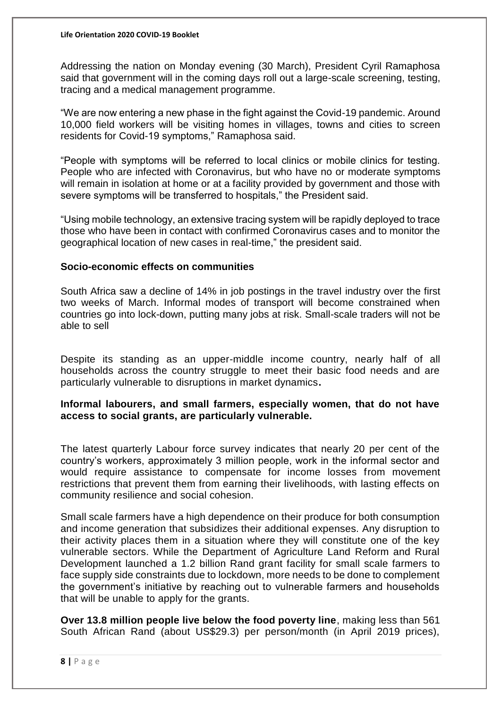Addressing the nation on Monday evening (30 March), President Cyril Ramaphosa said that government will in the coming days roll out a large-scale screening, testing, tracing and a medical management programme.

"We are now entering a new phase in the fight against the Covid-19 pandemic. Around 10,000 field workers will be visiting homes in villages, towns and cities to screen residents for Covid-19 symptoms," Ramaphosa said.

"People with symptoms will be referred to local clinics or mobile clinics for testing. People who are infected with Coronavirus, but who have no or moderate symptoms will remain in isolation at home or at a facility provided by government and those with severe symptoms will be transferred to hospitals," the President said.

"Using mobile technology, an extensive tracing system will be rapidly deployed to trace those who have been in contact with confirmed Coronavirus cases and to monitor the geographical location of new cases in real-time," the president said.

#### **Socio-economic effects on communities**

South Africa saw a decline of 14% in job postings in the travel industry over the first two weeks of March. Informal modes of transport will become constrained when countries go into lock-down, putting many jobs at risk. Small-scale traders will not be able to sell

Despite its standing as an upper-middle income country, nearly half of all households across the country struggle to meet their basic food needs and are particularly vulnerable to disruptions in market dynamics**.** 

**Informal labourers, and small farmers, especially women, that do not have access to social grants, are particularly vulnerable.**

The latest quarterly Labour force survey indicates that nearly 20 per cent of the country's workers, approximately 3 million people, work in the informal sector and would require assistance to compensate for income losses from movement restrictions that prevent them from earning their livelihoods, with lasting effects on community resilience and social cohesion.

Small scale farmers have a high dependence on their produce for both consumption and income generation that subsidizes their additional expenses. Any disruption to their activity places them in a situation where they will constitute one of the key vulnerable sectors. While the Department of Agriculture Land Reform and Rural Development launched a 1.2 billion Rand grant facility for small scale farmers to face supply side constraints due to lockdown, more needs to be done to complement the government's initiative by reaching out to vulnerable farmers and households that will be unable to apply for the grants.

**Over 13.8 million people live below the food poverty line**, making less than 561 South African Rand (about US\$29.3) per person/month (in April 2019 prices),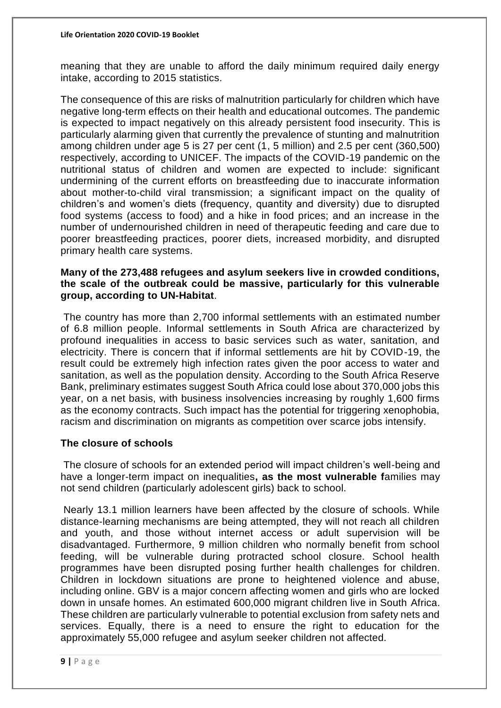meaning that they are unable to afford the daily minimum required daily energy intake, according to 2015 statistics.

The consequence of this are risks of malnutrition particularly for children which have negative long-term effects on their health and educational outcomes. The pandemic is expected to impact negatively on this already persistent food insecurity. This is particularly alarming given that currently the prevalence of stunting and malnutrition among children under age 5 is 27 per cent (1, 5 million) and 2.5 per cent (360,500) respectively, according to UNICEF. The impacts of the COVID-19 pandemic on the nutritional status of children and women are expected to include: significant undermining of the current efforts on breastfeeding due to inaccurate information about mother-to-child viral transmission; a significant impact on the quality of children's and women's diets (frequency, quantity and diversity) due to disrupted food systems (access to food) and a hike in food prices; and an increase in the number of undernourished children in need of therapeutic feeding and care due to poorer breastfeeding practices, poorer diets, increased morbidity, and disrupted primary health care systems.

#### **Many of the 273,488 refugees and asylum seekers live in crowded conditions, the scale of the outbreak could be massive, particularly for this vulnerable group, according to UN-Habitat**.

The country has more than 2,700 informal settlements with an estimated number of 6.8 million people. Informal settlements in South Africa are characterized by profound inequalities in access to basic services such as water, sanitation, and electricity. There is concern that if informal settlements are hit by COVID-19, the result could be extremely high infection rates given the poor access to water and sanitation, as well as the population density. According to the South Africa Reserve Bank, preliminary estimates suggest South Africa could lose about 370,000 jobs this year, on a net basis, with business insolvencies increasing by roughly 1,600 firms as the economy contracts. Such impact has the potential for triggering xenophobia, racism and discrimination on migrants as competition over scarce jobs intensify.

#### **The closure of schools**

The closure of schools for an extended period will impact children's well-being and have a longer-term impact on inequalities**, as the most vulnerable f**amilies may not send children (particularly adolescent girls) back to school.

Nearly 13.1 million learners have been affected by the closure of schools. While distance-learning mechanisms are being attempted, they will not reach all children and youth, and those without internet access or adult supervision will be disadvantaged. Furthermore, 9 million children who normally benefit from school feeding, will be vulnerable during protracted school closure. School health programmes have been disrupted posing further health challenges for children. Children in lockdown situations are prone to heightened violence and abuse, including online. GBV is a major concern affecting women and girls who are locked down in unsafe homes. An estimated 600,000 migrant children live in South Africa. These children are particularly vulnerable to potential exclusion from safety nets and services. Equally, there is a need to ensure the right to education for the approximately 55,000 refugee and asylum seeker children not affected.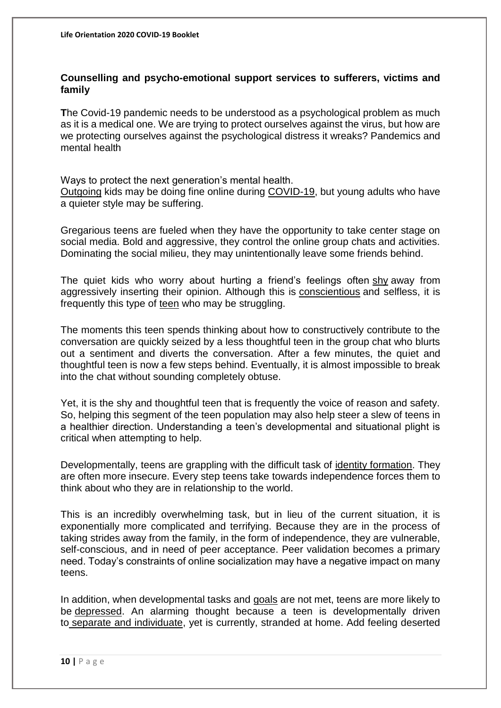#### **Counselling and psycho-emotional support services to sufferers, victims and family**

**T**he Covid-19 pandemic needs to be understood as a psychological problem as much as it is a medical one. We are trying to protect ourselves against the virus, but how are we protecting ourselves against the psychological distress it wreaks? Pandemics and mental health

Ways to protect the next generation's mental health. [Outgoing](https://www.psychologytoday.com/za/basics/extroversion) kids may be doing fine online during [COVID-19,](https://www.psychologytoday.com/za/basics/coronavirus-disease-2019) but young adults who have a quieter style may be suffering.

Gregarious teens are fueled when they have the opportunity to take center stage on social media. Bold and aggressive, they control the online group chats and activities. Dominating the social milieu, they may unintentionally leave some friends behind.

The quiet kids who worry about hurting a friend's feelings often [shy](https://www.psychologytoday.com/za/basics/shyness) away from aggressively inserting their opinion. Although this is [conscientious](https://www.psychologytoday.com/za/basics/conscientiousness) and selfless, it is frequently this type of [teen](https://www.psychologytoday.com/za/basics/adolescence) who may be struggling.

The moments this teen spends thinking about how to constructively contribute to the conversation are quickly seized by a less thoughtful teen in the group chat who blurts out a sentiment and diverts the conversation. After a few minutes, the quiet and thoughtful teen is now a few steps behind. Eventually, it is almost impossible to break into the chat without sounding completely obtuse.

Yet, it is the shy and thoughtful teen that is frequently the voice of reason and safety. So, helping this segment of the teen population may also help steer a slew of teens in a healthier direction. Understanding a teen's developmental and situational plight is critical when attempting to help.

Developmentally, teens are grappling with the difficult task of [identity formation.](http://psychology.jrank.org/pages/322/Identity-Identity-Formation.html) They are often more insecure. Every step teens take towards independence forces them to think about who they are in relationship to the world.

This is an incredibly overwhelming task, but in lieu of the current situation, it is exponentially more complicated and terrifying. Because they are in the process of taking strides away from the family, in the form of independence, they are vulnerable, self-conscious, and in need of peer acceptance. Peer validation becomes a primary need. Today's constraints of online socialization may have a negative impact on many teens.

In addition, when developmental tasks and [goals](https://www.psychologytoday.com/za/basics/motivation) are not met, teens are more likely to be [depressed.](https://www.psychologytoday.com/za/basics/depression) An alarming thought because a teen is developmentally driven to [separate and individuate,](http://www.verywellfamily.com/individuation-3288007) yet is currently, stranded at home. Add feeling deserted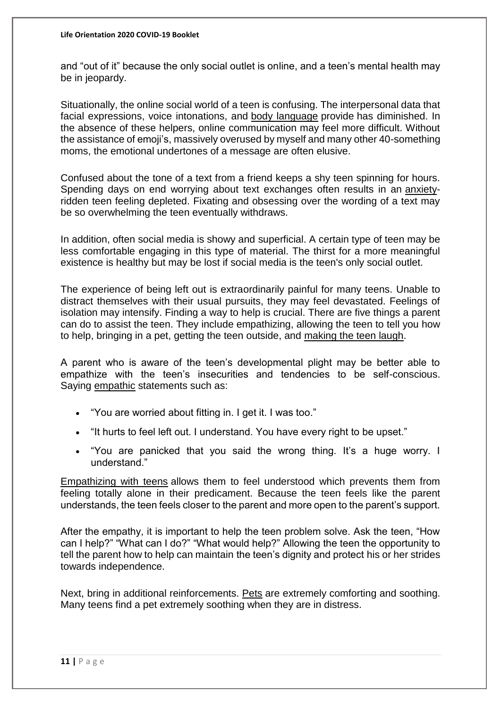and "out of it" because the only social outlet is online, and a teen's mental health may be in jeopardy.

Situationally, the online social world of a teen is confusing. The interpersonal data that facial expressions, voice intonations, and [body language](https://www.psychologytoday.com/za/basics/body-language) provide has diminished. In the absence of these helpers, online communication may feel more difficult. Without the assistance of emoji's, massively overused by myself and many other 40-something moms, the emotional undertones of a message are often elusive.

Confused about the tone of a text from a friend keeps a shy teen spinning for hours. Spending days on end worrying about text exchanges often results in an [anxiety](https://www.psychologytoday.com/za/basics/anxiety)ridden teen feeling depleted. Fixating and obsessing over the wording of a text may be so overwhelming the teen eventually withdraws.

In addition, often social media is showy and superficial. A certain type of teen may be less comfortable engaging in this type of material. The thirst for a more meaningful existence is healthy but may be lost if social media is the teen's only social outlet.

The experience of being left out is extraordinarily painful for many teens. Unable to distract themselves with their usual pursuits, they may feel devastated. Feelings of isolation may intensify. Finding a way to help is crucial. There are five things a parent can do to assist the teen. They include empathizing, allowing the teen to tell you how to help, bringing in a pet, getting the teen outside, and making [the teen laugh.](http://www.mayoclinic.org/healthy-lifestyle/stress-management/in-depth/stress-relief/art-20044456)

A parent who is aware of the teen's developmental plight may be better able to empathize with the teen's insecurities and tendencies to be self-conscious. Saying [empathic](https://www.psychologytoday.com/za/basics/empathy) statements such as:

- "You are worried about fitting in. I get it. I was too."
- "It hurts to feel left out. I understand. You have every right to be upset."
- "You are panicked that you said the wrong thing. It's a huge worry. I understand."

[Empathizing with teens](https://www.psychologytoday.com/za/blog/surviving-your-childs-adolescence/201806/adolescence-and-the-power-empathy) allows them to feel understood which prevents them from feeling totally alone in their predicament. Because the teen feels like the parent understands, the teen feels closer to the parent and more open to the parent's support.

After the empathy, it is important to help the teen problem solve. Ask the teen, "How can I help?" "What can I do?" "What would help?" Allowing the teen the opportunity to tell the parent how to help can maintain the teen's dignity and protect his or her strides towards independence.

Next, bring in additional reinforcements. [Pets](https://www.psychologytoday.com/za/basics/animal-behavior) are extremely comforting and soothing. Many teens find a pet extremely soothing when they are in distress.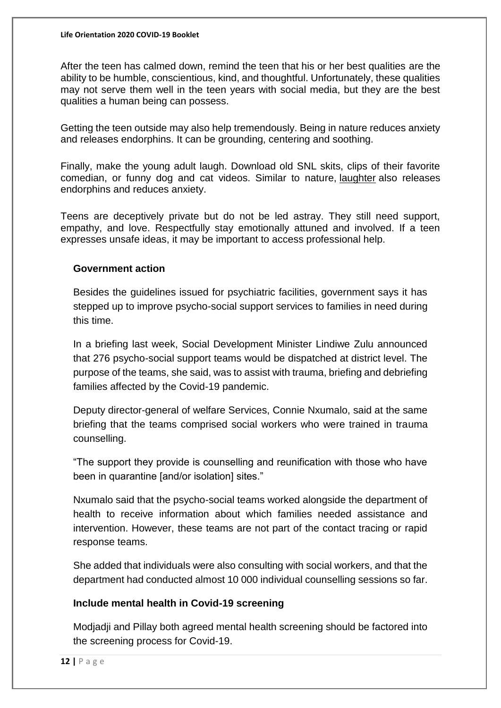After the teen has calmed down, remind the teen that his or her best qualities are the ability to be humble, conscientious, kind, and thoughtful. Unfortunately, these qualities may not serve them well in the teen years with social media, but they are the best qualities a human being can possess.

Getting the teen outside may also help tremendously. Being in nature reduces anxiety and releases endorphins. It can be grounding, centering and soothing.

Finally, make the young adult laugh. Download old SNL skits, clips of their favorite comedian, or funny dog and cat videos. Similar to nature, [laughter](https://www.psychologytoday.com/za/basics/laughter) also releases endorphins and reduces anxiety.

Teens are deceptively private but do not be led astray. They still need support, empathy, and love. Respectfully stay emotionally attuned and involved. If a teen expresses unsafe ideas, it may be important to access professional help.

#### **Government action**

Besides the guidelines issued for psychiatric facilities, government says it has stepped up to improve psycho-social support services to families in need during this time.

In a briefing last week, Social Development Minister Lindiwe Zulu announced that 276 psycho-social support teams would be dispatched at district level. The purpose of the teams, she said, was to assist with trauma, briefing and debriefing families affected by the Covid-19 pandemic.

Deputy director-general of welfare Services, Connie Nxumalo, said at the same briefing that the teams comprised social workers who were trained in trauma counselling.

"The support they provide is counselling and reunification with those who have been in quarantine [and/or isolation] sites."

Nxumalo said that the psycho-social teams worked alongside the department of health to receive information about which families needed assistance and intervention. However, these teams are not part of the contact tracing or rapid response teams.

She added that individuals were also consulting with social workers, and that the department had conducted almost 10 000 individual counselling sessions so far.

#### **Include mental health in Covid-19 screening**

Modjadji and Pillay both agreed mental health screening should be factored into the screening process for Covid-19.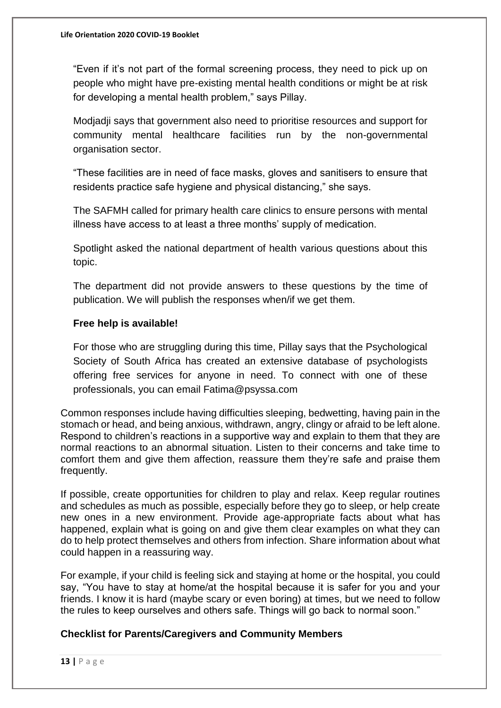"Even if it's not part of the formal screening process, they need to pick up on people who might have pre-existing mental health conditions or might be at risk for developing a mental health problem," says Pillay.

Modjadji says that government also need to prioritise resources and support for community mental healthcare facilities run by the non-governmental organisation sector.

"These facilities are in need of face masks, gloves and sanitisers to ensure that residents practice safe hygiene and physical distancing," she says.

The SAFMH called for primary health care clinics to ensure persons with mental illness have access to at least a three months' supply of medication.

Spotlight asked the national department of health various questions about this topic.

The department did not provide answers to these questions by the time of publication. We will publish the responses when/if we get them.

## **Free help is available!**

For those who are struggling during this time, Pillay says that the Psychological Society of South Africa has created an extensive database of psychologists offering free services for anyone in need. To connect with one of these professionals, you can email Fatima@psyssa.com

Common responses include having difficulties sleeping, bedwetting, having pain in the stomach or head, and being anxious, withdrawn, angry, clingy or afraid to be left alone. Respond to children's reactions in a supportive way and explain to them that they are normal reactions to an abnormal situation. Listen to their concerns and take time to comfort them and give them affection, reassure them they're safe and praise them frequently.

If possible, create opportunities for children to play and relax. Keep regular routines and schedules as much as possible, especially before they go to sleep, or help create new ones in a new environment. Provide age-appropriate facts about what has happened, explain what is going on and give them clear examples on what they can do to help protect themselves and others from infection. Share information about what could happen in a reassuring way.

For example, if your child is feeling sick and staying at home or the hospital, you could say, "You have to stay at home/at the hospital because it is safer for you and your friends. I know it is hard (maybe scary or even boring) at times, but we need to follow the rules to keep ourselves and others safe. Things will go back to normal soon."

## **Checklist for Parents/Caregivers and Community Members**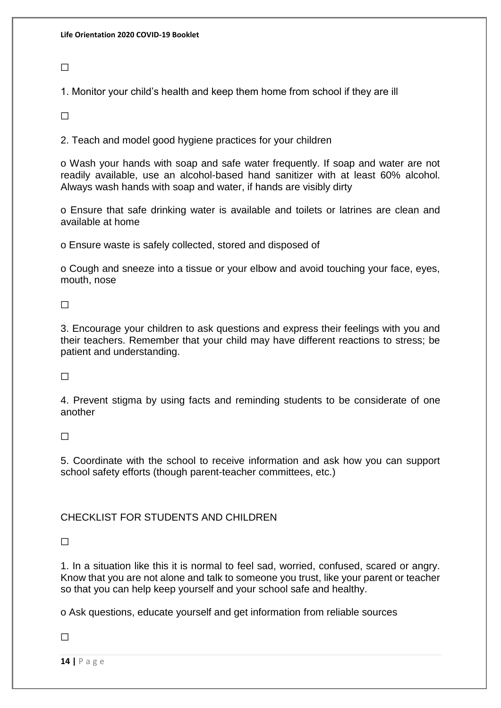$\Box$ 

1. Monitor your child's health and keep them home from school if they are ill

 $\Box$ 

2. Teach and model good hygiene practices for your children

o Wash your hands with soap and safe water frequently. If soap and water are not readily available, use an alcohol-based hand sanitizer with at least 60% alcohol. Always wash hands with soap and water, if hands are visibly dirty

o Ensure that safe drinking water is available and toilets or latrines are clean and available at home

o Ensure waste is safely collected, stored and disposed of

o Cough and sneeze into a tissue or your elbow and avoid touching your face, eyes, mouth, nose

 $\Box$ 

3. Encourage your children to ask questions and express their feelings with you and their teachers. Remember that your child may have different reactions to stress; be patient and understanding.

 $\Box$ 

4. Prevent stigma by using facts and reminding students to be considerate of one another

 $\Box$ 

5. Coordinate with the school to receive information and ask how you can support school safety efforts (though parent-teacher committees, etc.)

## CHECKLIST FOR STUDENTS AND CHILDREN

 $\Box$ 

1. In a situation like this it is normal to feel sad, worried, confused, scared or angry. Know that you are not alone and talk to someone you trust, like your parent or teacher so that you can help keep yourself and your school safe and healthy.

o Ask questions, educate yourself and get information from reliable sources

 $\Box$ 

**14 |** P a g e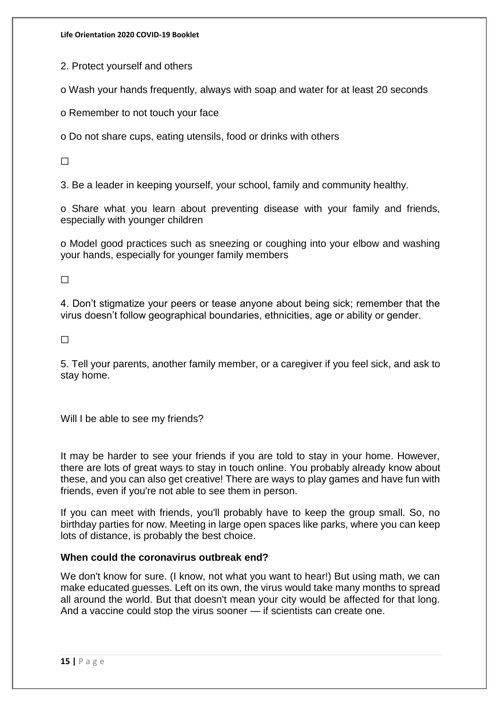**Life Orientation 2020 COVID-19 Booklet**

2. Protect yourself and others

o Wash your hands frequently, always with soap and water for at least 20 seconds

o Remember to not touch your face

o Do not share cups, eating utensils, food or drinks with others

 $\Box$ 

3. Be a leader in keeping yourself, your school, family and community healthy.

o Share what you learn about preventing disease with your family and friends, especially with younger children

o Model good practices such as sneezing or coughing into your elbow and washing your hands, especially for younger family members

 $\Box$ 

4. Don't stigmatize your peers or tease anyone about being sick; remember that the virus doesn't follow geographical boundaries, ethnicities, age or ability or gender.

 $\Box$ 

5. Tell your parents, another family member, or a caregiver if you feel sick, and ask to stay home.

Will I be able to see my friends?

It may be harder to see your friends if you are told to stay in your home. However, there are lots of great ways to stay in touch online. You probably already know about these, and you can also get creative! There are ways to play games and have fun with friends, even if you're not able to see them in person.

If you can meet with friends, you'll probably have to keep the group small. So, no birthday parties for now. Meeting in large open spaces like parks, where you can keep lots of distance, is probably the best choice.

#### **When could the coronavirus outbreak end?**

We don't know for sure. (I know, not what you want to hear!) But using math, we can make educated guesses. Left on its own, the virus would take many months to spread all around the world. But that doesn't mean your city would be affected for that long. And a vaccine could stop the virus sooner — if scientists can create one.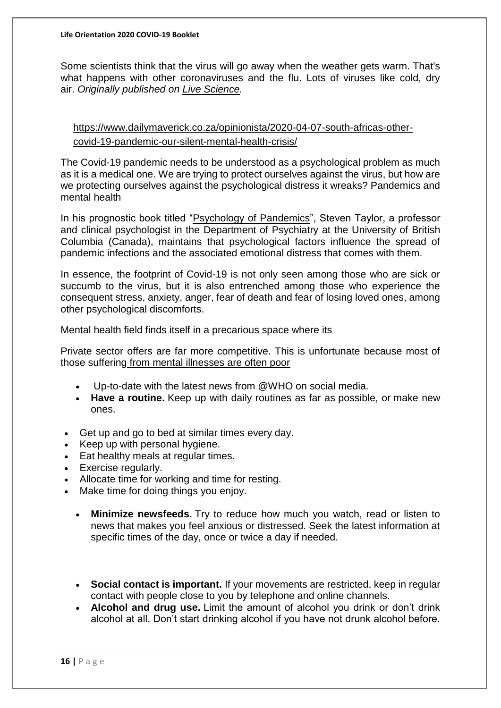Some scientists think that the virus will go away when the weather gets warm. That's what happens with other coronaviruses and the flu. Lots of viruses like cold, dry air. *Originally published on Live [Science.](https://www.livescience.com/)*

[https://www.dailymaverick.co.za/opinionista/2020-04-07-south-africas-other](https://www.dailymaverick.co.za/opinionista/2020-04-07-south-africas-other-covid-19-pandemic-our-silent-mental-health-crisis/)[covid-19-pandemic-our-silent-mental-health-crisis/](https://www.dailymaverick.co.za/opinionista/2020-04-07-south-africas-other-covid-19-pandemic-our-silent-mental-health-crisis/)

The Covid-19 pandemic needs to be understood as a psychological problem as much as it is a medical one. We are trying to protect ourselves against the virus, but how are we protecting ourselves against the psychological distress it wreaks? Pandemics and mental health

In his prognostic book titled ["Psychology of Pandemics"](https://www.cambridgescholars.com/the-psychology-of-pandemics), Steven Taylor, a professor and clinical psychologist in the Department of Psychiatry at the University of British Columbia (Canada), maintains that psychological factors influence the spread of pandemic infections and the associated emotional distress that comes with them.

In essence, the footprint of Covid-19 is not only seen among those who are sick or succumb to the virus, but it is also entrenched among those who experience the consequent stress, anxiety, anger, fear of death and fear of losing loved ones, among other psychological discomforts.

Mental health field finds itself in a precarious space where its

Private sector offers are far more competitive. This is unfortunate because most of those suffering [from mental illnesses are often poor](http://www.sadag.org/index.php?option=com_content&view=article&id=339:the-vicious-cycle-of-poverty-and-mental-illness-the-sad-state-of-care-in-sa&catid=66&Itemid=132)

- Up-to-date with the latest news from @WHO on social media.
- **Have a routine.** Keep up with daily routines as far as possible, or make new ones.
- Get up and go to bed at similar times every day.
- Keep up with personal hygiene.
- Eat healthy meals at regular times.
- Exercise regularly.
- Allocate time for working and time for resting.
- Make time for doing things you enjoy.
	- **Minimize newsfeeds.** Try to reduce how much you watch, read or listen to news that makes you feel anxious or distressed. Seek the latest information at specific times of the day, once or twice a day if needed.
	- **Social contact is important.** If your movements are restricted, keep in regular contact with people close to you by telephone and online channels.
	- **Alcohol and drug use.** Limit the amount of alcohol you drink or don't drink alcohol at all. Don't start drinking alcohol if you have not drunk alcohol before.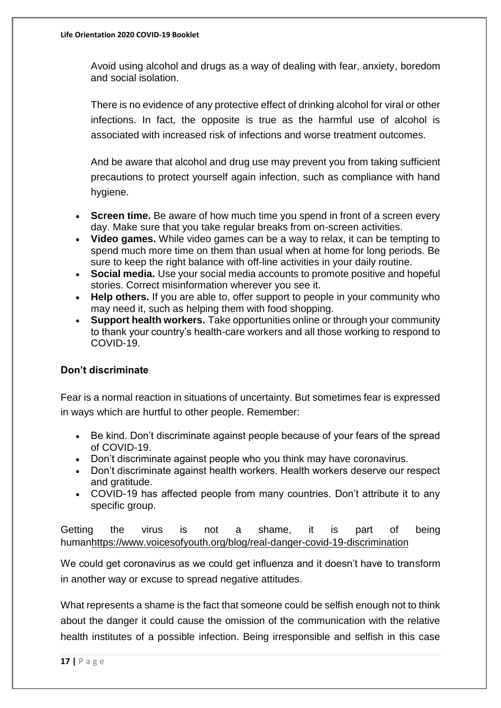Avoid using alcohol and drugs as a way of dealing with fear, anxiety, boredom and social isolation.

There is no evidence of any protective effect of drinking alcohol for viral or other infections. In fact, the opposite is true as the harmful use of alcohol is associated with increased risk of infections and worse treatment outcomes.

And be aware that alcohol and drug use may prevent you from taking sufficient precautions to protect yourself again infection, such as compliance with hand hygiene.

- **Screen time.** Be aware of how much time you spend in front of a screen every day. Make sure that you take regular breaks from on-screen activities.
- **Video games.** While video games can be a way to relax, it can be tempting to spend much more time on them than usual when at home for long periods. Be sure to keep the right balance with off-line activities in your daily routine.
- **Social media.** Use your social media accounts to promote positive and hopeful stories. Correct misinformation wherever you see it.
- **Help others.** If you are able to, offer support to people in your community who may need it, such as helping them with food shopping.
- **Support health workers.** Take opportunities online or through your community to thank your country's health-care workers and all those working to respond to COVID-19.

## **Don't discriminate**

Fear is a normal reaction in situations of uncertainty. But sometimes fear is expressed in ways which are hurtful to other people. Remember:

- Be kind. Don't discriminate against people because of your fears of the spread of COVID-19.
- Don't discriminate against people who you think may have coronavirus.
- Don't discriminate against health workers. Health workers deserve our respect and gratitude.
- COVID-19 has affected people from many countries. Don't attribute it to any specific group.

Getting the virus is not a shame, it is part of being huma[nhttps://www.voicesofyouth.org/blog/real-danger-covid-19-discrimination](https://www.voicesofyouth.org/blog/real-danger-covid-19-discrimination)

We could get coronavirus as we could get influenza and it doesn't have to transform in another way or excuse to spread negative attitudes.

What represents a shame is the fact that someone could be selfish enough not to think about the danger it could cause the omission of the communication with the relative health institutes of a possible infection. Being irresponsible and selfish in this case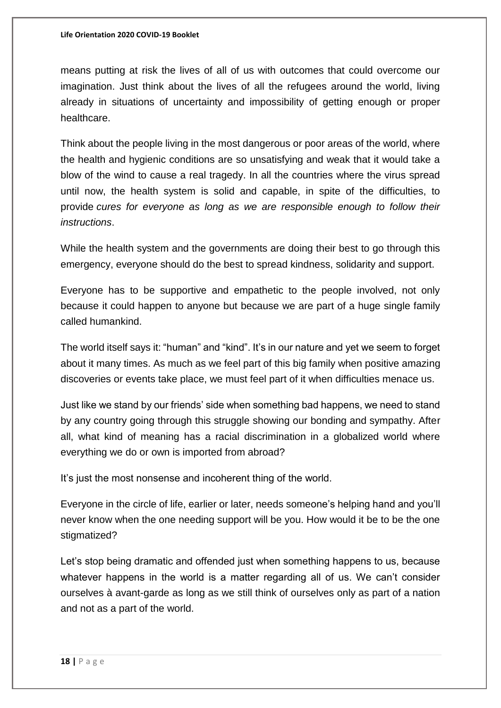means putting at risk the lives of all of us with outcomes that could overcome our imagination. Just think about the lives of all the refugees around the world, living already in situations of uncertainty and impossibility of getting enough or proper healthcare.

Think about the people living in the most dangerous or poor areas of the world, where the health and hygienic conditions are so unsatisfying and weak that it would take a blow of the wind to cause a real tragedy. In all the countries where the virus spread until now, the health system is solid and capable, in spite of the difficulties, to provide *cures for everyone as long as we are responsible enough to follow their instructions*.

While the health system and the governments are doing their best to go through this emergency, everyone should do the best to spread kindness, solidarity and support.

Everyone has to be supportive and empathetic to the people involved, not only because it could happen to anyone but because we are part of a huge single family called humankind.

The world itself says it: "human" and "kind". It's in our nature and yet we seem to forget about it many times. As much as we feel part of this big family when positive amazing discoveries or events take place, we must feel part of it when difficulties menace us.

Just like we stand by our friends' side when something bad happens, we need to stand by any country going through this struggle showing our bonding and sympathy. After all, what kind of meaning has a racial discrimination in a globalized world where everything we do or own is imported from abroad?

It's just the most nonsense and incoherent thing of the world.

Everyone in the circle of life, earlier or later, needs someone's helping hand and you'll never know when the one needing support will be you. How would it be to be the one stigmatized?

Let's stop being dramatic and offended just when something happens to us, because whatever happens in the world is a matter regarding all of us. We can't consider ourselves à avant-garde as long as we still think of ourselves only as part of a nation and not as a part of the world.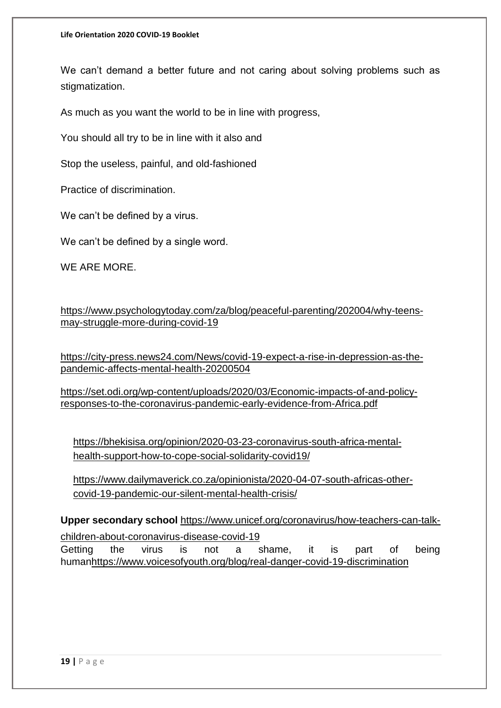We can't demand a better future and not caring about solving problems such as stigmatization.

As much as you want the world to be in line with progress,

You should all try to be in line with it also and

Stop the useless, painful, and old-fashioned

Practice of discrimination.

We can't be defined by a virus.

We can't be defined by a single word.

WE ARE MORE.

[https://www.psychologytoday.com/za/blog/peaceful-parenting/202004/why-teens](https://www.psychologytoday.com/za/blog/peaceful-parenting/202004/why-teens-may-struggle-more-during-covid-19)[may-struggle-more-during-covid-19](https://www.psychologytoday.com/za/blog/peaceful-parenting/202004/why-teens-may-struggle-more-during-covid-19)

[https://city-press.news24.com/News/covid-19-expect-a-rise-in-depression-as-the](https://city-press.news24.com/News/covid-19-expect-a-rise-in-depression-as-the-pandemic-affects-mental-health-20200504)[pandemic-affects-mental-health-20200504](https://city-press.news24.com/News/covid-19-expect-a-rise-in-depression-as-the-pandemic-affects-mental-health-20200504)

[https://set.odi.org/wp-content/uploads/2020/03/Economic-impacts-of-and-policy](https://set.odi.org/wp-content/uploads/2020/03/Economic-impacts-of-and-policy-responses-to-the-coronavirus-pandemic-early-evidence-from-Africa.pdf)[responses-to-the-coronavirus-pandemic-early-evidence-from-Africa.pdf](https://set.odi.org/wp-content/uploads/2020/03/Economic-impacts-of-and-policy-responses-to-the-coronavirus-pandemic-early-evidence-from-Africa.pdf)

[https://bhekisisa.org/opinion/2020-03-23-coronavirus-south-africa-mental](https://bhekisisa.org/opinion/2020-03-23-coronavirus-south-africa-mental-health-support-how-to-cope-social-solidarity-covid19/)[health-support-how-to-cope-social-solidarity-covid19/](https://bhekisisa.org/opinion/2020-03-23-coronavirus-south-africa-mental-health-support-how-to-cope-social-solidarity-covid19/)

[https://www.dailymaverick.co.za/opinionista/2020-04-07-south-africas-other](https://www.dailymaverick.co.za/opinionista/2020-04-07-south-africas-other-covid-19-pandemic-our-silent-mental-health-crisis/)[covid-19-pandemic-our-silent-mental-health-crisis/](https://www.dailymaverick.co.za/opinionista/2020-04-07-south-africas-other-covid-19-pandemic-our-silent-mental-health-crisis/)

**Upper secondary school** [https://www.unicef.org/coronavirus/how-teachers-can-talk](https://www.unicef.org/coronavirus/how-teachers-can-talk-children-about-coronavirus-disease-covid-19)[children-about-coronavirus-disease-covid-19](https://www.unicef.org/coronavirus/how-teachers-can-talk-children-about-coronavirus-disease-covid-19) Getting the virus is not a shame, it is part of being huma[nhttps://www.voicesofyouth.org/blog/real-danger-covid-19-discrimination](https://www.voicesofyouth.org/blog/real-danger-covid-19-discrimination)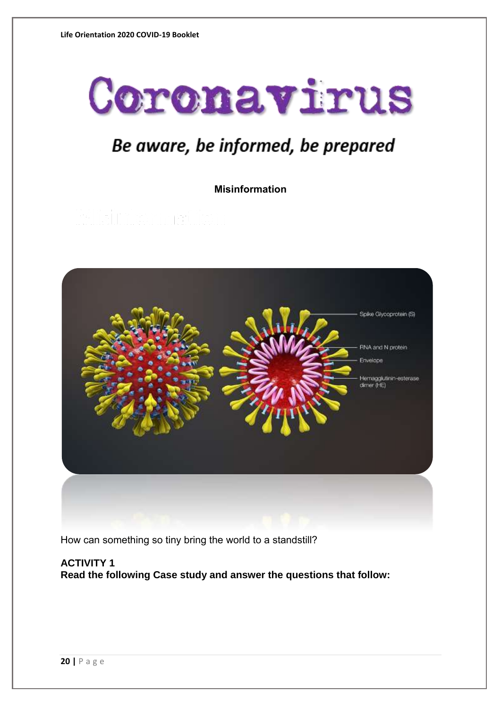

# Be aware, be informed, be prepared

**Misinformation**



How can something so tiny bring the world to a standstill?

**ACTIVITY 1 Read the following Case study and answer the questions that follow:**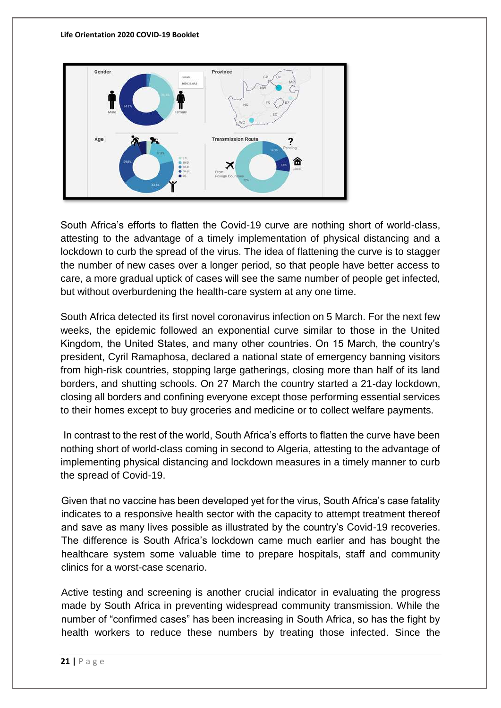

South Africa's efforts to flatten the Covid-19 curve are nothing short of world-class, attesting to the advantage of a timely implementation of physical distancing and a lockdown to curb the spread of the virus. The idea of flattening the curve is to stagger the number of new cases over a longer period, so that people have better access to care, a more gradual uptick of cases will see the same number of people get infected, but without overburdening the health-care system at any one time.

South Africa detected its first novel coronavirus infection on 5 March. For the next few weeks, the epidemic followed an exponential curve similar to those in the United Kingdom, the United States, and many other countries. On 15 March, the country's president, Cyril Ramaphosa, declared a national state of emergency banning visitors from high-risk countries, stopping large gatherings, closing more than half of its land borders, and shutting schools. On 27 March the country started a 21-day lockdown, closing all borders and confining everyone except those performing essential services to their homes except to buy groceries and medicine or to collect welfare payments.

In contrast to the rest of the world, South Africa's efforts to flatten the curve have been nothing short of world-class coming in second to Algeria, attesting to the advantage of implementing physical distancing and lockdown measures in a timely manner to curb the spread of Covid-19.

Given that no vaccine has been developed yet for the virus, South Africa's case fatality indicates to a responsive health sector with the capacity to attempt treatment thereof and save as many lives possible as illustrated by the country's Covid-19 recoveries. The difference is South Africa's lockdown came much earlier and has bought the healthcare system some valuable time to prepare hospitals, staff and community clinics for a worst-case scenario.

Active testing and screening is another crucial indicator in evaluating the progress made by South Africa in preventing widespread community transmission. While the number of "confirmed cases" has been increasing in South Africa, so has the fight by health workers to reduce these numbers by treating those infected. Since the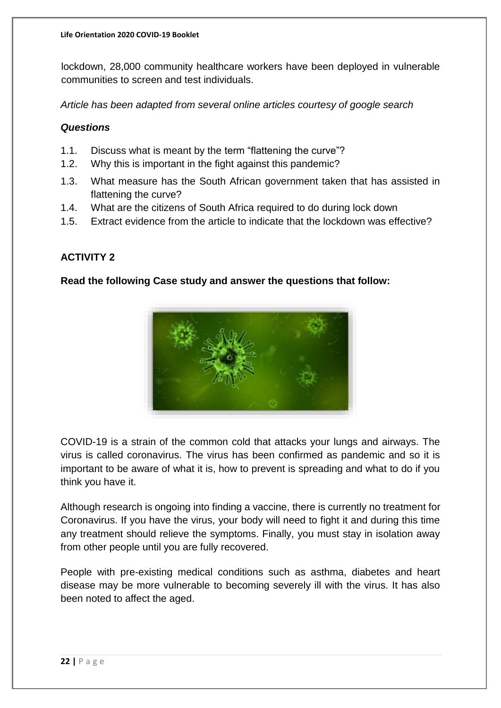lockdown, 28,000 community healthcare workers have been deployed in vulnerable communities to screen and test individuals.

*Article has been adapted from several online articles courtesy of google search*

#### *Questions*

- 1.1. Discuss what is meant by the term "flattening the curve"?
- 1.2. Why this is important in the fight against this pandemic?
- 1.3. What measure has the South African government taken that has assisted in flattening the curve?
- 1.4. What are the citizens of South Africa required to do during lock down
- 1.5. Extract evidence from the article to indicate that the lockdown was effective?

#### **ACTIVITY 2**

#### **Read the following Case study and answer the questions that follow:**



COVID-19 is a strain of the common cold that attacks your lungs and airways. The virus is called coronavirus. The virus has been confirmed as pandemic and so it is important to be aware of what it is, how to prevent is spreading and what to do if you think you have it.

Although research is ongoing into finding a vaccine, there is currently no treatment for Coronavirus. If you have the virus, your body will need to fight it and during this time any treatment should relieve the symptoms. Finally, you must stay in isolation away from other people until you are fully recovered.

People with pre-existing medical conditions such as asthma, diabetes and heart disease may be more vulnerable to becoming severely ill with the virus. It has also been noted to affect the aged.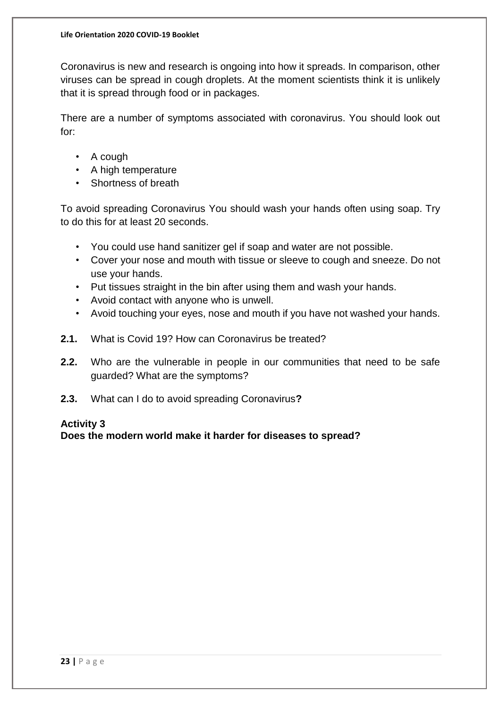Coronavirus is new and research is ongoing into how it spreads. In comparison, other viruses can be spread in cough droplets. At the moment scientists think it is unlikely that it is spread through food or in packages.

There are a number of symptoms associated with coronavirus. You should look out for:

- A cough
- A high temperature
- Shortness of breath

To avoid spreading Coronavirus You should wash your hands often using soap. Try to do this for at least 20 seconds.

- You could use hand sanitizer gel if soap and water are not possible.
- Cover your nose and mouth with tissue or sleeve to cough and sneeze. Do not use your hands.
- Put tissues straight in the bin after using them and wash your hands.
- Avoid contact with anyone who is unwell.
- Avoid touching your eyes, nose and mouth if you have not washed your hands.
- **2.1.** What is Covid 19? How can Coronavirus be treated?
- **2.2.** Who are the vulnerable in people in our communities that need to be safe guarded? What are the symptoms?
- **2.3.** What can I do to avoid spreading Coronavirus**?**

#### **Activity 3**

**Does the modern world make it harder for diseases to spread?**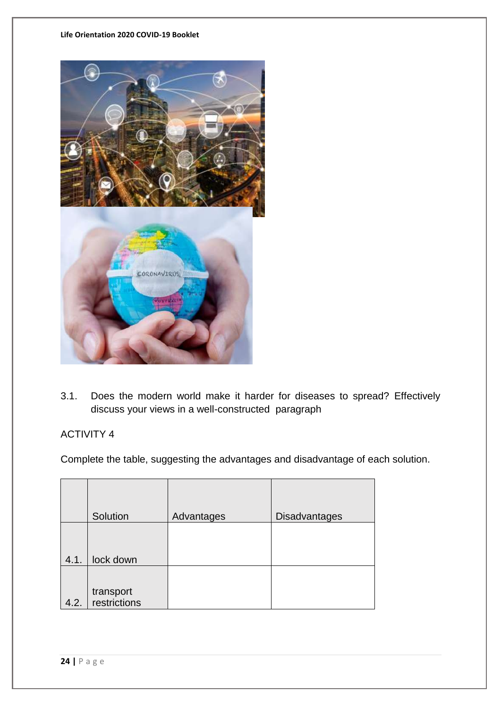#### **Life Orientation 2020 COVID-19 Booklet**



3.1. Does the modern world make it harder for diseases to spread? Effectively discuss your views in a well-constructed paragraph

## ACTIVITY 4

Complete the table, suggesting the advantages and disadvantage of each solution.

|      | Solution                  | Advantages | <b>Disadvantages</b> |
|------|---------------------------|------------|----------------------|
| 4.1. | lock down                 |            |                      |
| 4.2. | transport<br>restrictions |            |                      |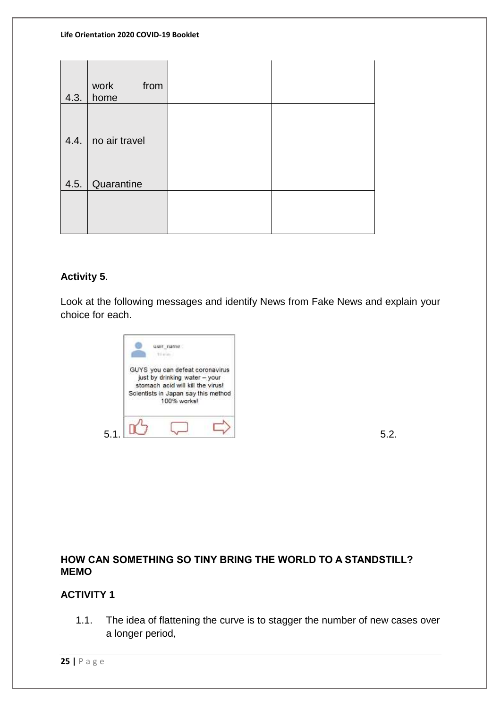#### **Life Orientation 2020 COVID-19 Booklet**

| 4.3. | work<br>from<br>home |  |
|------|----------------------|--|
|      | 4.4.   no air travel |  |
|      | 4.5. Quarantine      |  |
|      |                      |  |

## **Activity 5**.

Look at the following messages and identify News from Fake News and explain your choice for each.

|     | user name<br>Til min.                                                                                                                                       |    |
|-----|-------------------------------------------------------------------------------------------------------------------------------------------------------------|----|
|     | GUYS you can defeat coronavirus<br>just by drinking water - your<br>stomach acid will kill the virus!<br>Scientists in Japan say this method<br>100% works! |    |
| 5.1 |                                                                                                                                                             | 52 |

**HOW CAN SOMETHING SO TINY BRING THE WORLD TO A STANDSTILL? MEMO**

#### **ACTIVITY 1**

1.1. The idea of flattening the curve is to stagger the number of new cases over a longer period,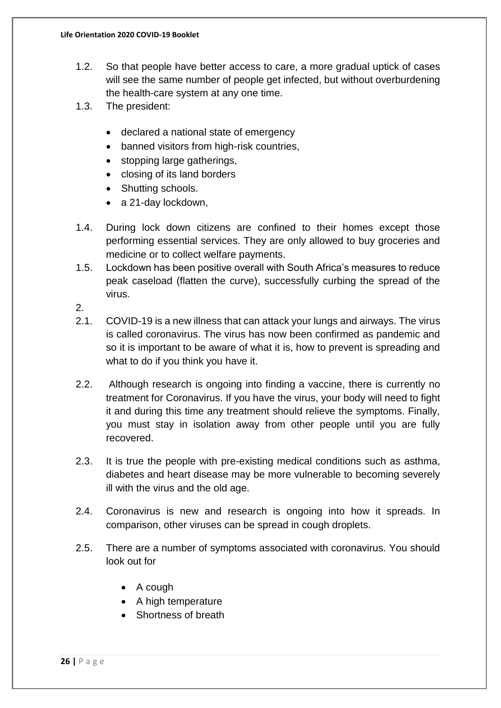- 1.2. So that people have better access to care, a more gradual uptick of cases will see the same number of people get infected, but without overburdening the health-care system at any one time.
- 1.3. The president:
	- declared a national state of emergency
	- banned visitors from high-risk countries,
	- stopping large gatherings,
	- closing of its land borders
	- Shutting schools.
	- a 21-day lockdown,
- 1.4. During lock down citizens are confined to their homes except those performing essential services. They are only allowed to buy groceries and medicine or to collect welfare payments.
- 1.5. Lockdown has been positive overall with South Africa's measures to reduce peak caseload (flatten the curve), successfully curbing the spread of the virus.

2.

- 2.1. COVID-19 is a new illness that can attack your lungs and airways. The virus is called coronavirus. The virus has now been confirmed as pandemic and so it is important to be aware of what it is, how to prevent is spreading and what to do if you think you have it.
- 2.2. Although research is ongoing into finding a vaccine, there is currently no treatment for Coronavirus. If you have the virus, your body will need to fight it and during this time any treatment should relieve the symptoms. Finally, you must stay in isolation away from other people until you are fully recovered.
- 2.3. It is true the people with pre-existing medical conditions such as asthma, diabetes and heart disease may be more vulnerable to becoming severely ill with the virus and the old age.
- 2.4. Coronavirus is new and research is ongoing into how it spreads. In comparison, other viruses can be spread in cough droplets.
- 2.5. There are a number of symptoms associated with coronavirus. You should look out for
	- A cough
	- A high temperature
	- Shortness of breath